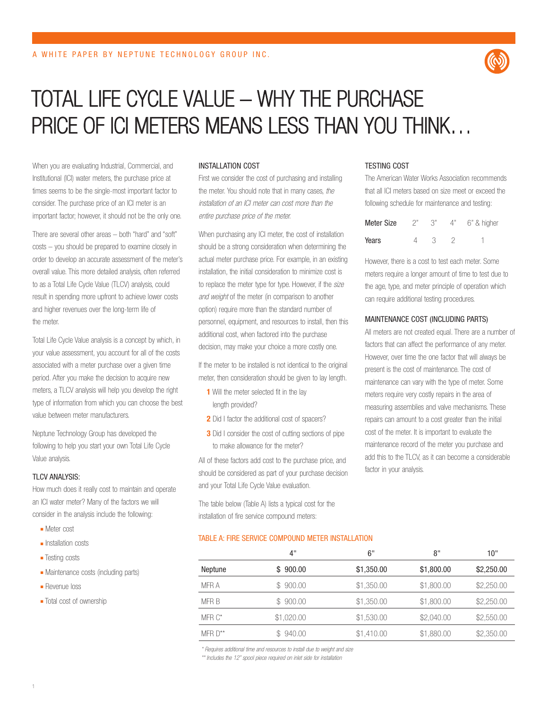

# TOTAL LIFE CYCLE VALUE – WHY THE PURCHASE PRICE OF ICI METERS MEANS LESS THAN YOU THINK…

When you are evaluating Industrial, Commercial, and Institutional (ICI) water meters, the purchase price at times seems to be the single-most important factor to consider. The purchase price of an ICI meter is an important factor; however, it should not be the only one.

There are several other areas – both "hard" and "soft" costs – you should be prepared to examine closely in order to develop an accurate assessment of the meter's overall value. This more detailed analysis, often referred to as a Total Life Cycle Value (TLCV) analysis, could result in spending more upfront to achieve lower costs and higher revenues over the long-term life of the meter.

Total Life Cycle Value analysis is a concept by which, in your value assessment, you account for all of the costs associated with a meter purchase over a given time period. After you make the decision to acquire new meters, a TLCV analysis will help you develop the right type of information from which you can choose the best value between meter manufacturers.

Neptune Technology Group has developed the following to help you start your own Total Life Cycle Value analysis.

#### TLCV ANALYSIS:

How much does it really cost to maintain and operate an ICI water meter? Many of the factors we will consider in the analysis include the following:

- Meter cost
- Installation costs
- Testing costs
- Maintenance costs (including parts)
- Revenue loss
- Total cost of ownership

#### INSTALLATION COST

First we consider the cost of purchasing and installing the meter. You should note that in many cases, the installation of an ICI meter can cost more than the entire purchase price of the meter.

When purchasing any ICI meter, the cost of installation should be a strong consideration when determining the actual meter purchase price. For example, in an existing installation, the initial consideration to minimize cost is to replace the meter type for type. However, if the size and weight of the meter (in comparison to another option) require more than the standard number of personnel, equipment, and resources to install, then this additional cost, when factored into the purchase decision, may make your choice a more costly one.

If the meter to be installed is not identical to the original meter, then consideration should be given to lay length.

- **1** Will the meter selected fit in the lay length provided?
- **2** Did I factor the additional cost of spacers?
- **3** Did I consider the cost of cutting sections of pipe to make allowance for the meter?

All of these factors add cost to the purchase price, and should be considered as part of your purchase decision and your Total Life Cycle Value evaluation.

The table below (Table A) lists a typical cost for the installation of fire service compound meters:

#### TABLE A: FIRE SERVICE COMPOUND METER INSTALLATION

#### TESTING COST

The American Water Works Association recommends that all ICI meters based on size meet or exceed the following schedule for maintenance and testing:

| Meter Size | 2" | ال 1 | $\Delta$ " | 6" & higher |
|------------|----|------|------------|-------------|
| Years      |    | -7   |            |             |

However, there is a cost to test each meter. Some meters require a longer amount of time to test due to the age, type, and meter principle of operation which can require additional testing procedures.

#### MAINTENANCE COST (INCLUDING PARTS)

All meters are not created equal. There are a number of factors that can affect the performance of any meter. However, over time the one factor that will always be present is the cost of maintenance. The cost of maintenance can vary with the type of meter. Some meters require very costly repairs in the area of measuring assemblies and valve mechanisms. These repairs can amount to a cost greater than the initial cost of the meter. It is important to evaluate the maintenance record of the meter you purchase and add this to the TLCV, as it can become a considerable factor in your analysis.

|              | 4"         | 6"         | 8"         | 10"        |
|--------------|------------|------------|------------|------------|
| Neptune      | \$900.00   | \$1,350.00 | \$1,800.00 | \$2,250.00 |
| MFR A        | \$900.00   | \$1,350.00 | \$1,800.00 | \$2,250.00 |
| MFR B        | \$900.00   | \$1,350.00 | \$1,800.00 | \$2,250.00 |
| $MFR C*$     | \$1,020.00 | \$1,530.00 | \$2,040.00 | \$2,550.00 |
| MFR $D^{**}$ | \$940.00   | \$1,410.00 | \$1,880.00 | \$2,350.00 |
|              |            |            |            |            |

\* Requires additional time and resources to install due to weight and size

\*\* Includes the 12" spool piece required on inlet side for installation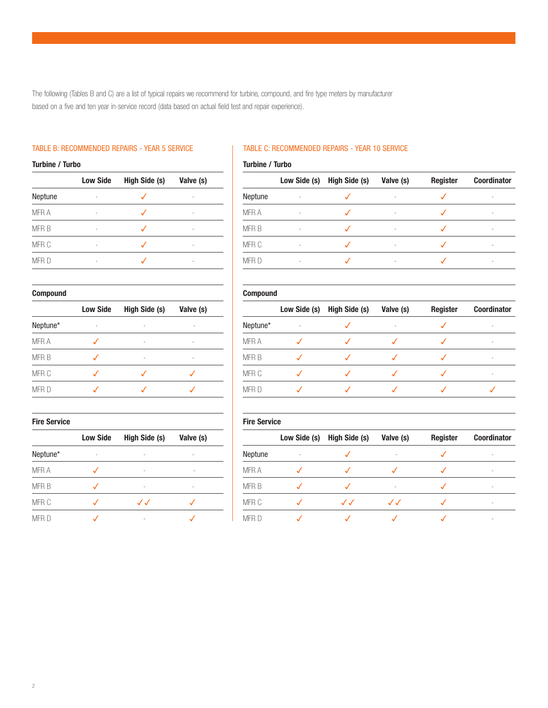The following (Tables B and C) are a list of typical repairs we recommend for turbine, compound, and fire type meters by manufacturer based on a five and ten year in-service record (data based on actual field test and repair experience).

# TABLE B: RECOMMENDED REPAIRS - YEAR 5 SERVICE

# **Turbine / Turbo**

|         | <b>Low Side</b> | <b>High Side (s)</b> | Valve (s) |
|---------|-----------------|----------------------|-----------|
| Neptune |                 |                      |           |
| MFR A   |                 |                      |           |
| MFR B   |                 |                      |           |
| MFR C   |                 |                      |           |
| MFR D   |                 |                      |           |

### **Compound**

|          | <b>Low Side</b> | High Side (s) | Valve (s) |
|----------|-----------------|---------------|-----------|
| Neptune* |                 |               |           |
| MFR A    |                 |               |           |
| MFR B    |                 |               |           |
| MFR C    |                 |               |           |
| MFR D    |                 |               |           |

# **Fire Service**

|             | <b>Low Side</b> | High Side (s) | Valve (s) |
|-------------|-----------------|---------------|-----------|
| Neptune*    |                 |               |           |
| <b>MFRA</b> |                 |               |           |
| MFR B       |                 |               |           |
| MFR C       |                 | $\cal J$      |           |
| <b>MFR</b>  |                 |               |           |

# TABLE C: RECOMMENDED REPAIRS - YEAR 10 SERVICE

#### **Turbine / Turbo**

|                  | Low Side (s) | High Side (s) | Valve (s) | <b>Register</b> | <b>Coordinator</b> |
|------------------|--------------|---------------|-----------|-----------------|--------------------|
| Neptune          |              |               |           |                 |                    |
| MFR A            |              |               |           |                 |                    |
| MFR B            |              |               |           |                 |                    |
| MFR C            |              |               |           |                 |                    |
| MFR <sub>D</sub> |              |               |           |                 |                    |

#### **Compound**

|             | Low Side (s) | High Side (s) | Valve (s) | <b>Register</b> | <b>Coordinator</b> |
|-------------|--------------|---------------|-----------|-----------------|--------------------|
| Neptune*    |              |               |           |                 |                    |
| <b>MFRA</b> |              |               |           |                 |                    |
| MFR B       |              |               |           |                 |                    |
| MFR C       |              |               |           |                 |                    |
| MFR D       |              |               |           |                 |                    |

#### **Fire Service**

|             | Low Side (s) | <b>High Side (s)</b> | Valve (s) | <b>Register</b> | <b>Coordinator</b> |
|-------------|--------------|----------------------|-----------|-----------------|--------------------|
| Neptune     |              |                      |           |                 |                    |
| <b>MFRA</b> |              |                      |           |                 |                    |
| MFR B       |              |                      |           |                 | ۰                  |
| MFR C       |              | $\Lambda$            | $\Lambda$ |                 |                    |
| MFR D       |              |                      |           |                 | ۰                  |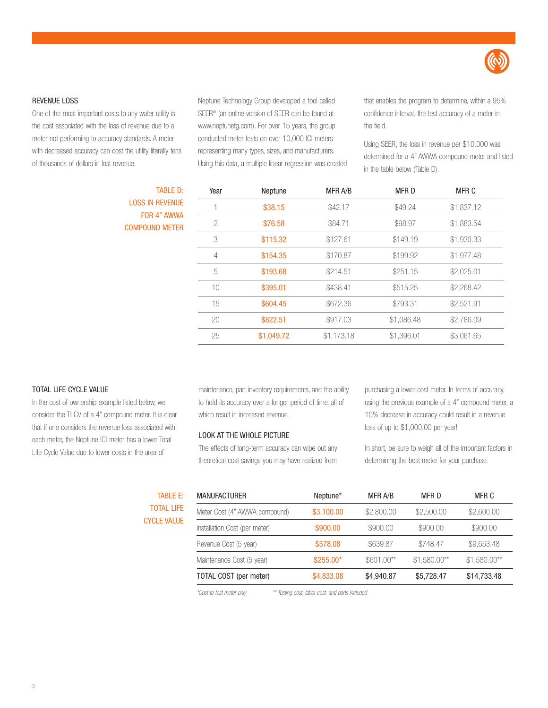

#### REVENUE LOSS

One of the most important costs to any water utility is the cost associated with the loss of revenue due to a meter not performing to accuracy standards. A meter with decreased accuracy can cost the utility literally tens of thousands of dollars in lost revenue.

Neptune Technology Group developed a tool called SEER® (an online version of SEER can be found at www.neptunetg.com). For over 15 years, the group conducted meter tests on over 10,000 ICI meters representing many types, sizes, and manufacturers. Using this data, a multiple linear regression was created that enables the program to determine, within a 95% confidence interval, the test accuracy of a meter in the field.

Using SEER, the loss in revenue per \$10,000 was determined for a 4" AWWA compound meter and listed in the table below (Table D).

| Year          | Neptune    | MFR A/B    | <b>MFRD</b> | MFR C      |
|---------------|------------|------------|-------------|------------|
|               | \$38.15    | \$42.17    | \$49.24     | \$1,837.12 |
| $\mathcal{P}$ | \$76.58    | \$84.71    | \$98.97     | \$1,883.54 |
| 3             | \$115.32   | \$127.61   | \$149.19    | \$1,930.33 |
| 4             | \$154.35   | \$170.87   | \$199.92    | \$1,977.48 |
| 5             | \$193.68   | \$214.51   | \$251.15    | \$2,025.01 |
| 10            | \$395.01   | \$438.41   | \$515.25    | \$2,268.42 |
| 15            | \$604.45   | \$672.36   | \$793.31    | \$2,521.91 |
| 20            | \$822.51   | \$917.03   | \$1,086.48  | \$2,786.09 |
| 25            | \$1,049.72 | \$1,173.18 | \$1,396.01  | \$3,061.65 |
|               |            |            |             |            |

#### TOTAL LIFE CYCLE VALUE

In the cost of ownership example listed below, we consider the TLCV of a 4" compound meter. It is clear that if one considers the revenue loss associated with each meter, the Neptune ICI meter has a lower Total Life Cycle Value due to lower costs in the area of

maintenance, part inventory requirements, and the ability to hold its accuracy over a longer period of time, all of which result in increased revenue.

# LOOK AT THE WHOLE PICTURE

The effects of long-term accuracy can wipe out any theoretical cost savings you may have realized from purchasing a lower-cost meter. In terms of accuracy, using the previous example of a 4" compound meter, a 10% decrease in accuracy could result in a revenue loss of up to \$1,000.00 per year!

In short, be sure to weigh all of the important factors in determining the best meter for your purchase.

# TABLE E: TOTAL LIFE CYCLE VALUE

TABLE D:

LOSS IN REVENUE FOR 4" AWWA COMPOUND METER

| <b>MANUFACTURER</b>           | Neptune*   | MFR A/B     | MFR D         | MFR C         |
|-------------------------------|------------|-------------|---------------|---------------|
| Meter Cost (4" AWWA compound) | \$3,100.00 | \$2,800.00  | \$2,500.00    | \$2,600.00    |
| Installation Cost (per meter) | \$900.00   | \$900,00    | \$900.00      | \$900.00      |
| Revenue Cost (5 year)         | \$578.08   | \$639,87    | \$748.47      | \$9,653.48    |
| Maintenance Cost (5 year)     | $$255.00*$ | $$601.00**$ | $$1,580.00**$ | $$1,580.00**$ |
| TOTAL COST (per meter)        | \$4,833.08 | \$4,940.87  | \$5,728.47    | \$14,733.48   |

\*Cost to test meter only \*\* Testing cost, labor cost, and parts included